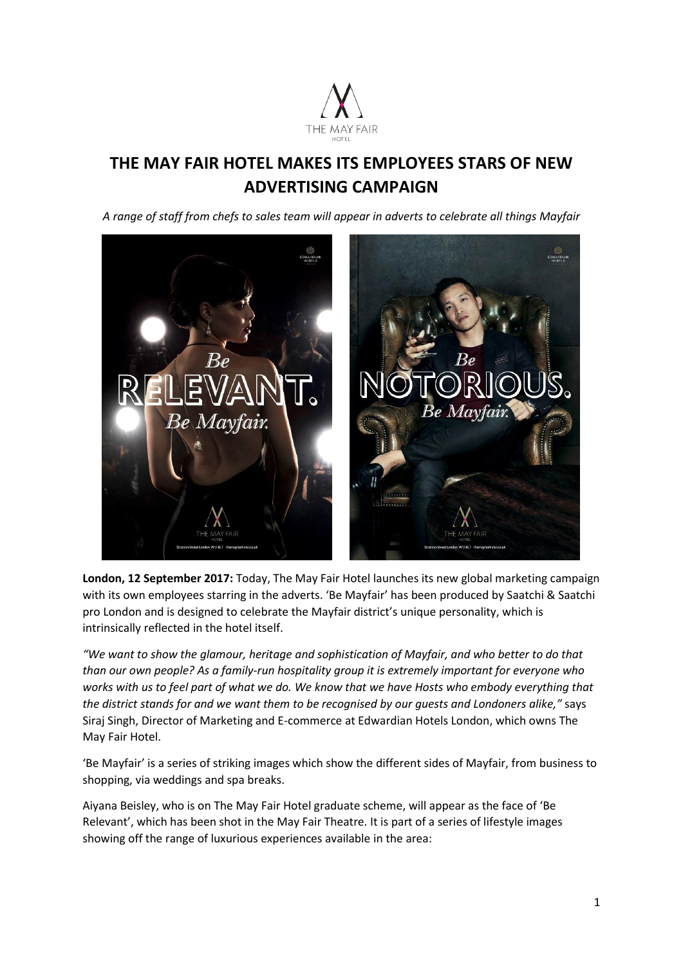

# **THE MAY FAIR HOTEL MAKES ITS EMPLOYEES STARS OF NEW ADVERTISING CAMPAIGN**

*A range of staff from chefs to sales team will appear in adverts to celebrate all things Mayfair*



**London, 12 September 2017:** Today, The May Fair Hotel launches its new global marketing campaign with its own employees starring in the adverts. 'Be Mayfair' has been produced by Saatchi & Saatchi pro London and is designed to celebrate the Mayfair district's unique personality, which is intrinsically reflected in the hotel itself.

*"We want to show the glamour, heritage and sophistication of Mayfair, and who better to do that than our own people? As a family-run hospitality group it is extremely important for everyone who works with us to feel part of what we do. We know that we have Hosts who embody everything that the district stands for and we want them to be recognised by our guests and Londoners alike,"* says Siraj Singh, Director of Marketing and E-commerce at Edwardian Hotels London, which owns The May Fair Hotel.

'Be Mayfair' is a series of striking images which show the different sides of Mayfair, from business to shopping, via weddings and spa breaks.

Aiyana Beisley, who is on The May Fair Hotel graduate scheme, will appear as the face of 'Be Relevant', which has been shot in the May Fair Theatre. It is part of a series of lifestyle images showing off the range of luxurious experiences available in the area: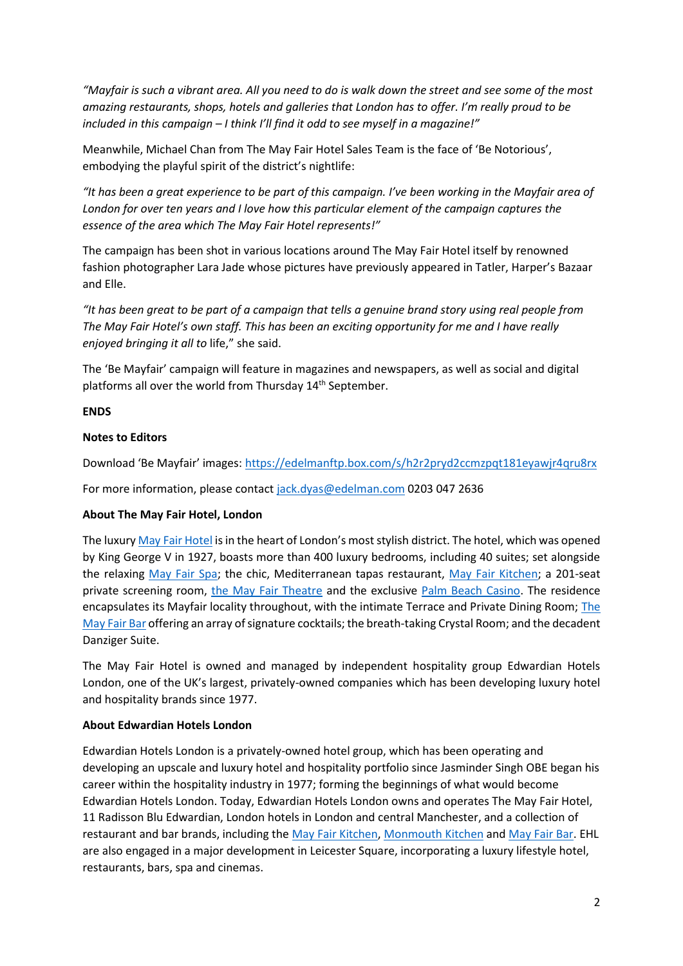*"Mayfair is such a vibrant area. All you need to do is walk down the street and see some of the most amazing restaurants, shops, hotels and galleries that London has to offer. I'm really proud to be included in this campaign – I think I'll find it odd to see myself in a magazine!"*

Meanwhile, Michael Chan from The May Fair Hotel Sales Team is the face of 'Be Notorious', embodying the playful spirit of the district's nightlife:

*"It has been a great experience to be part of this campaign. I've been working in the Mayfair area of London for over ten years and I love how this particular element of the campaign captures the essence of the area which The May Fair Hotel represents!"*

The campaign has been shot in various locations around The May Fair Hotel itself by renowned fashion photographer Lara Jade whose pictures have previously appeared in Tatler, Harper's Bazaar and Elle.

*"It has been great to be part of a campaign that tells a genuine brand story using real people from The May Fair Hotel's own staff. This has been an exciting opportunity for me and I have really enjoyed bringing it all to* life," she said.

The 'Be Mayfair' campaign will feature in magazines and newspapers, as well as social and digital platforms all over the world from Thursday 14<sup>th</sup> September.

# **ENDS**

# **Notes to Editors**

Download 'Be Mayfair' images: <https://edelmanftp.box.com/s/h2r2pryd2ccmzpqt181eyawjr4qru8rx>

For more information, please contact [jack.dyas@edelman.com](mailto:jack.dyas@edelman.com) 0203 047 2636

### **About The May Fair Hotel, London**

The luxury [May Fair Hotel](http://www.themayfairhotel.co.uk/) is in the heart of London's most stylish district. The hotel, which was opened by King George V in 1927, boasts more than 400 luxury bedrooms, including 40 suites; set alongside the relaxing [May Fair Spa;](http://www.themayfairhotel.co.uk/spa) the chic, Mediterranean tapas restaurant, [May Fair Kitchen;](http://www.mayfairkitchen.co.uk/) a 201-seat private screening room, [the May Fair Theatre](http://www.themayfairhotel.co.uk/video/the-theatre) and the exclusive [Palm Beach Casino.](http://www.thepalmbeach.co.uk/) The residence encapsulates its Mayfair locality throughout, with the intimate Terrace and Private Dining Room[; The](http://www.themayfairhotel.co.uk/bar)  [May Fair Bar](http://www.themayfairhotel.co.uk/bar) offering an array of signature cocktails; the breath-taking Crystal Room; and the decadent Danziger Suite.

The May Fair Hotel is owned and managed by independent hospitality group Edwardian Hotels London, one of the UK's largest, privately-owned companies which has been developing luxury hotel and hospitality brands since 1977.

### **About Edwardian Hotels London**

Edwardian Hotels London is a privately-owned hotel group, which has been operating and developing an upscale and luxury hotel and hospitality portfolio since Jasminder Singh OBE began his career within the hospitality industry in 1977; forming the beginnings of what would become Edwardian Hotels London. Today, Edwardian Hotels London owns and operates The May Fair Hotel, 11 Radisson Blu Edwardian, London hotels in London and central Manchester, and a collection of restaurant and bar brands, including the [May Fair Kitchen,](http://www.mayfairkitchen.co.uk/) [Monmouth Kitchen](http://www.monmouthkitchen.co.uk/) and [May Fair Bar.](http://www.mayfairbar.co.uk/) EHL are also engaged in a major development in Leicester Square, incorporating a luxury lifestyle hotel, restaurants, bars, spa and cinemas.